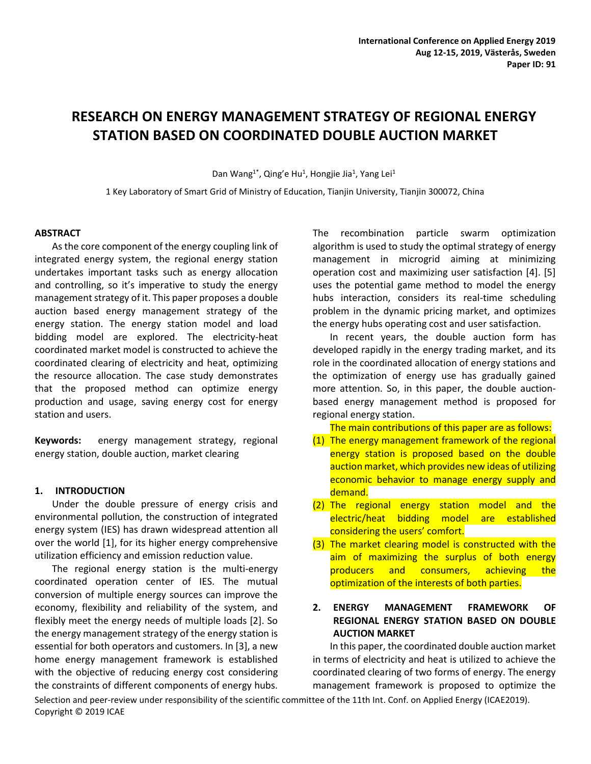# **RESEARCH ON ENERGY MANAGEMENT STRATEGY OF REGIONAL ENERGY STATION BASED ON COORDINATED DOUBLE AUCTION MARKET**

Dan Wang<sup>1\*</sup>, Qing'e Hu<sup>1</sup>, Hongjie Jia<sup>1</sup>, Yang Lei<sup>1</sup>

1 Key Laboratory of Smart Grid of Ministry of Education, Tianjin University, Tianjin 300072, China

## **ABSTRACT**

As the core component of the energy coupling link of integrated energy system, the regional energy station undertakes important tasks such as energy allocation and controlling, so it's imperative to study the energy management strategy of it. This paper proposes a double auction based energy management strategy of the energy station. The energy station model and load bidding model are explored. The electricity-heat coordinated market model is constructed to achieve the coordinated clearing of electricity and heat, optimizing the resource allocation. The case study demonstrates that the proposed method can optimize energy production and usage, saving energy cost for energy station and users.

**Keywords:** energy management strategy, regional energy station, double auction, market clearing

## **1. INTRODUCTION**

Under the double pressure of energy crisis and environmental pollution, the construction of integrated energy system (IES) has drawn widespread attention all over the world [1], for its higher energy comprehensive utilization efficiency and emission reduction value.

The regional energy station is the multi-energy coordinated operation center of IES. The mutual conversion of multiple energy sources can improve the economy, flexibility and reliability of the system, and flexibly meet the energy needs of multiple loads [2]. So the energy management strategy of the energy station is essential for both operators and customers. In [3], a new home energy management framework is established with the objective of reducing energy cost considering the constraints of different components of energy hubs.

The recombination particle swarm optimization algorithm is used to study the optimal strategy of energy management in microgrid aiming at minimizing operation cost and maximizing user satisfaction [4]. [5] uses the potential game method to model the energy hubs interaction, considers its real-time scheduling problem in the dynamic pricing market, and optimizes the energy hubs operating cost and user satisfaction.

In recent years, the double auction form has developed rapidly in the energy trading market, and its role in the coordinated allocation of energy stations and the optimization of energy use has gradually gained more attention. So, in this paper, the double auctionbased energy management method is proposed for regional energy station.

The main contributions of this paper are as follows:

- (1) The energy management framework of the regional energy station is proposed based on the double auction market, which provides new ideas of utilizing economic behavior to manage energy supply and demand.
- (2) The regional energy station model and the electric/heat bidding model are established considering the users' comfort.
- (3) The market clearing model is constructed with the aim of maximizing the surplus of both energy producers and consumers, achieving the optimization of the interests of both parties.

# **2. ENERGY MANAGEMENT FRAMEWORK OF REGIONAL ENERGY STATION BASED ON DOUBLE AUCTION MARKET**

In this paper, the coordinated double auction market in terms of electricity and heat is utilized to achieve the coordinated clearing of two forms of energy. The energy management framework is proposed to optimize the

Selection and peer-review under responsibility of the scientific committee of the 11th Int. Conf. on Applied Energy (ICAE2019). Copyright © 2019 ICAE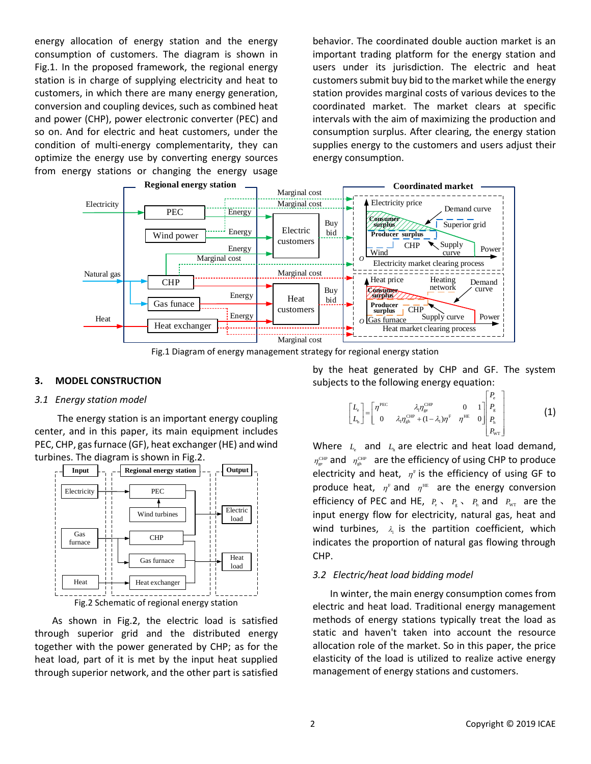energy allocation of energy station and the energy consumption of customers. The diagram is shown in Fig.1. In the proposed framework, the regional energy station is in charge of supplying electricity and heat to customers, in which there are many energy generation, conversion and coupling devices, such as combined heat and power (CHP), power electronic converter (PEC) and so on. And for electric and heat customers, under the condition of multi-energy complementarity, they can optimize the energy use by converting energy sources from energy stations or changing the energy usage

behavior. The coordinated double auction market is an important trading platform for the energy station and users under its jurisdiction. The electric and heat customers submit buy bid to the market while the energy station provides marginal costs of various devices to the coordinated market. The market clears at specific intervals with the aim of maximizing the production and consumption surplus. After clearing, the energy station supplies energy to the customers and users adjust their energy consumption.



Fig.1 Diagram of energy management strategy for regional energy station

## **3. MODEL CONSTRUCTION**

#### *3.1 Energy station model*

The energy station is an important energy coupling center, and in this paper, its main equipment includes PEC, CHP, gas furnace (GF), heat exchanger (HE) and wind turbines. The diagram is shown in Fig.2.



As shown in Fig.2, the electric load is satisfied through superior grid and the distributed energy together with the power generated by CHP; as for the heat load, part of it is met by the input heat supplied through superior network, and the other part is satisfied

by the heat generated by CHP and GF. The system subjects to the following energy equation:

$$
\begin{bmatrix} L_{\rm e} \\ L_{\rm h} \end{bmatrix} = \begin{bmatrix} \eta^{\rm PEC} & \lambda_{\rm t} \eta^{\rm CHP}_{\rm gpt} & 0 & 1 \\ 0 & \lambda_{\rm t} \eta^{\rm CHP}_{\rm gpt} + (1 - \lambda_{\rm t}) \eta^{\rm F} & \eta^{\rm HE} & 0 \end{bmatrix} \begin{bmatrix} P_{\rm e} \\ P_{\rm g} \\ P_{\rm h} \\ P_{\rm w} \end{bmatrix}
$$
 (1)

Where  $L_{\text{e}}$  and  $L_{\text{h}}$  are electric and heat load demand,  $\eta_{\rm ge}^{\rm CHP}$  and  $\eta_{\rm gh}^{\rm CHP}$  are the efficiency of using CHP to produce electricity and heat,  $\eta^{\text{F}}$  is the efficiency of using GF to produce heat,  $\eta^{\text{\tiny F}}$  and  $\eta^{\text{\tiny HE}}$  are the energy conversion efficiency of PEC and HE,  $P_e \sim P_g \sim P_h$  and  $P_{wr}$  are the input energy flow for electricity, natural gas, heat and wind turbines,  $\lambda_1$  is the partition coefficient, which indicates the proportion of natural gas flowing through CHP.

#### *3.2 Electric/heat load bidding model*

In winter, the main energy consumption comes from electric and heat load. Traditional energy management methods of energy stations typically treat the load as static and haven't taken into account the resource allocation role of the market. So in this paper, the price elasticity of the load is utilized to realize active energy management of energy stations and customers.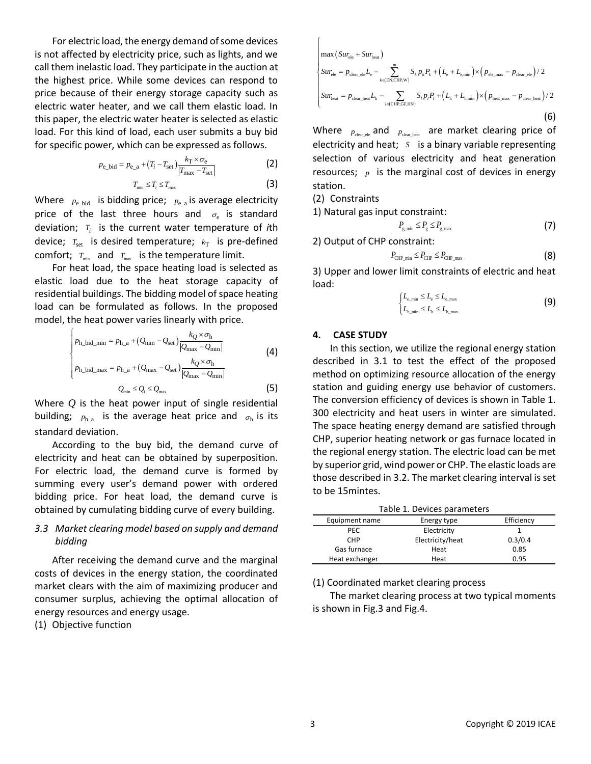For electric load, the energy demand of some devices is not affected by electricity price, such as lights, and we call them inelastic load. They participate in the auction at the highest price. While some devices can respond to price because of their energy storage capacity such as electric water heater, and we call them elastic load. In this paper, the electric water heater is selected as elastic load. For this kind of load, each user submits a buy bid for specific power, which can be expressed as follows.

$$
p_{\rm e\_bid} = p_{\rm e\_a} + (T_i - T_{\rm set}) \frac{k_{\rm T} \times \sigma_{\rm e}}{|T_{\rm max} - T_{\rm set}|}
$$
 (2)

 $T_{\min} \leq T_i \leq T_{\max}$  (3) Where  $p_{e\_bid}$  is bidding price;  $p_{e\_a}$  is average electricity

price of the last three hours and  $\sigma_{\rm e}$  is standard deviation; *Ti* is the current water temperature of *i*th device;  $T_{\text{set}}$  is desired temperature;  $k_{\text{T}}$  is pre-defined comfort;  $T_{\min}$  and  $T_{\max}$  is the temperature limit.

For heat load, the space heating load is selected as elastic load due to the heat storage capacity of residential buildings. The bidding model of space heating load can be formulated as follows. In the proposed model, the heat power varies linearly with price.

$$
\begin{cases}\np_{h\_bid\_min} = p_{h\_a} + (Q_{min} - Q_{set}) \frac{k_Q \times \sigma_h}{|Q_{max} - Q_{min}|} \\
p_{h\_bid\_max} = p_{h\_a} + (Q_{max} - Q_{set}) \frac{k_Q \times \sigma_h}{|Q_{max} - Q_{min}|} \\
Q_{min} \le Q_i \le Q_{max}\n\end{cases}\n\tag{4}
$$

Where *Q* is the heat power input of single residential building;  $p_{h_a}$  is the average heat price and  $\sigma_h$  is its standard deviation.

According to the buy bid, the demand curve of electricity and heat can be obtained by superposition. For electric load, the demand curve is formed by summing every user's demand power with ordered bidding price. For heat load, the demand curve is obtained by cumulating bidding curve of every building.

# *3.3 Market clearing model based on supply and demand bidding*

After receiving the demand curve and the marginal costs of devices in the energy station, the coordinated market clears with the aim of maximizing producer and consumer surplus, achieving the optimal allocation of energy resources and energy usage.

(1) Objective function

$$
\begin{cases}\n\max\left(Sur_{\text{ele}} + Sur_{\text{heat}}\right) \\
Sur_{\text{ele}} = p_{\text{clear\_ele}}L_{\text{e}} - \sum_{k \in \text{(EN,CHF,W)}}^{m} S_{k}p_{k}P_{k} + \left(L_{\text{e}} + L_{\text{c,min}}\right) \times \left(p_{\text{ele\_max}} - p_{\text{clear\_ele}}\right)/2 \\
Sur_{\text{heat}} = p_{\text{clear\_heat}}L_{\text{h}} - \sum_{l \in \text{(CHP,GF,HN)}} S_{l}p_{l}P_{l} + \left(L_{\text{h}} + L_{\text{h,min}}\right) \times \left(p_{\text{heat\_max}} - p_{\text{clear\_heat}}\right)/2 \\
\tag{6}\n\end{cases}
$$

Where  $p_{\text{clear\_ele}}$  and  $p_{\text{clear\_heat}}$  are market clearing price of electricity and heat; *S* is a binary variable representing selection of various electricity and heat generation resources;  *is the marginal cost of devices in energy* station.

(2) Constraints

1) Natural gas input constraint:

$$
P_{\rm g,min} \le P_{\rm g} \le P_{\rm g,max} \tag{7}
$$

2) Output of CHP constraint:

$$
P_{\text{CHP\_min}} \le P_{\text{CHP}} \le P_{\text{CHP\_max}} \tag{8}
$$

3) Upper and lower limit constraints of electric and heat load:

$$
\begin{cases} L_{\text{e,min}} \le L_{\text{e}} \le L_{\text{e,max}} \\ L_{\text{h,min}} \le L_{\text{h}} \le L_{\text{h,max}} \end{cases}
$$
 (9)

## **4. CASE STUDY**

In this section, we utilize the regional energy station described in 3.1 to test the effect of the proposed method on optimizing resource allocation of the energy station and guiding energy use behavior of customers. The conversion efficiency of devices is shown in Table 1. 300 electricity and heat users in winter are simulated. The space heating energy demand are satisfied through CHP, superior heating network or gas furnace located in the regional energy station. The electric load can be met by superior grid, wind power or CHP. The elastic loads are those described in 3.2. The market clearing interval is set to be 15mintes.

| Table 1. Devices parameters |                           |         |  |
|-----------------------------|---------------------------|---------|--|
| Equipment name              | Efficiency<br>Energy type |         |  |
| <b>PEC</b>                  | Electricity               |         |  |
| <b>CHP</b>                  | Electricity/heat          | 0.3/0.4 |  |
| Gas furnace                 | Heat                      | 0.85    |  |
| Heat exchanger              | Heat                      | 0.95    |  |

(1) Coordinated market clearing process

The market clearing process at two typical moments is shown in Fig.3 and Fig.4.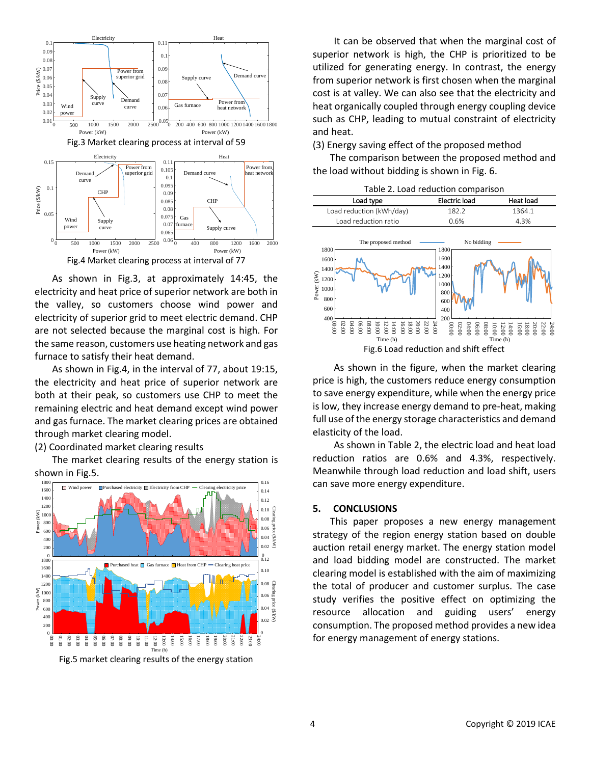

As shown in Fig.3, at approximately 14:45, the electricity and heat price of superior network are both in the valley, so customers choose wind power and electricity of superior grid to meet electric demand. CHP are not selected because the marginal cost is high. For the same reason, customers use heating network and gas furnace to satisfy their heat demand.

As shown in Fig.4, in the interval of 77, about 19:15, the electricity and heat price of superior network are both at their peak, so customers use CHP to meet the remaining electric and heat demand except wind power and gas furnace. The market clearing prices are obtained through market clearing model.

(2) Coordinated market clearing results

The market clearing results of the energy station is shown in Fig.5.



Fig.5 market clearing results of the energy station

It can be observed that when the marginal cost of superior network is high, the CHP is prioritized to be utilized for generating energy. In contrast, the energy from superior network is first chosen when the marginal cost is at valley. We can also see that the electricity and heat organically coupled through energy coupling device such as CHP, leading to mutual constraint of electricity and heat.

(3) Energy saving effect of the proposed method

The comparison between the proposed method and the load without bidding is shown in Fig. 6.

Table 2. Load reduction comparison

| Load type                                                                                                                                                                                                                                                                                                                                                                                                 | Electric load                                                                  | Heat load                                                                                                                                                                                                                                                                                                     |  |  |
|-----------------------------------------------------------------------------------------------------------------------------------------------------------------------------------------------------------------------------------------------------------------------------------------------------------------------------------------------------------------------------------------------------------|--------------------------------------------------------------------------------|---------------------------------------------------------------------------------------------------------------------------------------------------------------------------------------------------------------------------------------------------------------------------------------------------------------|--|--|
| Load reduction (kWh/day)                                                                                                                                                                                                                                                                                                                                                                                  | 182.2                                                                          | 1364.1                                                                                                                                                                                                                                                                                                        |  |  |
| Load reduction ratio                                                                                                                                                                                                                                                                                                                                                                                      | 0.6%                                                                           | 4.3%                                                                                                                                                                                                                                                                                                          |  |  |
| The proposed method<br>1800<br>1600<br>1400<br>Power (kW)<br>1200<br>1000<br>800<br>600<br>$^{400}$ $^{80}$<br>$\begin{array}{c} 24:0\\ 22:0\\ 8\\ 0\\ 8\\ 0\\ \end{array}$ $\begin{array}{c} 24:0\\ 24:0\\ 25:0\\ 26:0\\ 27:0\\ 28:0\\ 29:0\\ 20:0\\ 20:0\\ 20:0\\ 20:0\\ 20:0\\ 20:0\\ 20:0\\ 20:0\\ 20:0\\ 20:0\\ 20:0\\ 20:0\\ 20:0\\ 20:0\\ 20:0\\ 20:0\\ 20:0\\ 20:0\\ 20:0\\ 20:0\\ 20:0\\ 20:0\\$ | No bidding<br>1800<br>1600<br>1400<br>1200<br>1000<br>800<br>600<br>400<br>200 | $\begin{array}{l} 24:0 \\ 24:0 \\ 25:0 \\ 26:0 \\ 27:0 \\ 28:0 \\ 29:0 \\ 20:0 \\ 20:0 \\ 20:0 \\ 20:0 \\ 20:0 \\ 20:0 \\ 20:0 \\ 20:0 \\ 20:0 \\ 20:0 \\ 20:0 \\ 20:0 \\ 20:0 \\ 20:0 \\ 20:0 \\ 20:0 \\ 20:0 \\ 20:0 \\ 20:0 \\ 20:0 \\ 20:0 \\ 20:0 \\ 20:0 \\ 20:0 \\ 20:0 \\ 20:0 \\ 20:0 \\ 20:0 \\ 20$ |  |  |
| Time (h)<br>Time (h)                                                                                                                                                                                                                                                                                                                                                                                      |                                                                                |                                                                                                                                                                                                                                                                                                               |  |  |
| Fig.6 Load reduction and shift effect                                                                                                                                                                                                                                                                                                                                                                     |                                                                                |                                                                                                                                                                                                                                                                                                               |  |  |

As shown in the figure, when the market clearing price is high, the customers reduce energy consumption to save energy expenditure, while when the energy price is low, they increase energy demand to pre-heat, making full use of the energy storage characteristics and demand elasticity of the load.

As shown in Table 2, the electric load and heat load reduction ratios are 0.6% and 4.3%, respectively. Meanwhile through load reduction and load shift, users can save more energy expenditure.

## **5. CONCLUSIONS**

This paper proposes a new energy management strategy of the region energy station based on double auction retail energy market. The energy station model and load bidding model are constructed. The market clearing model is established with the aim of maximizing the total of producer and customer surplus. The case study verifies the positive effect on optimizing the resource allocation and guiding users' energy consumption. The proposed method provides a new idea for energy management of energy stations.